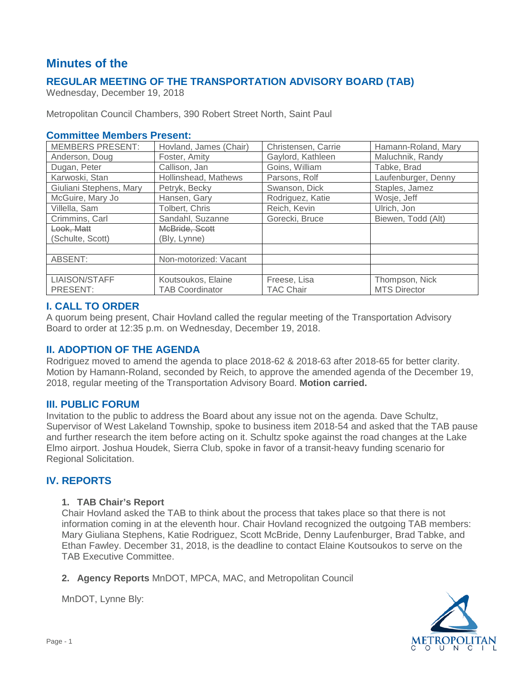# **Minutes of the**

## **REGULAR MEETING OF THE TRANSPORTATION ADVISORY BOARD (TAB)**

Wednesday, December 19, 2018

Metropolitan Council Chambers, 390 Robert Street North, Saint Paul

### **Committee Members Present:**

| <b>MEMBERS PRESENT:</b> | Hovland, James (Chair) | Christensen, Carrie | Hamann-Roland, Mary |
|-------------------------|------------------------|---------------------|---------------------|
| Anderson, Doug          | Foster, Amity          | Gaylord, Kathleen   | Maluchnik, Randy    |
| Dugan, Peter            | Callison, Jan          | Goins, William      | Tabke, Brad         |
| Karwoski, Stan          | Hollinshead, Mathews   | Parsons, Rolf       | Laufenburger, Denny |
| Giuliani Stephens, Mary | Petryk, Becky          | Swanson, Dick       | Staples, Jamez      |
| McGuire, Mary Jo        | Hansen, Gary           | Rodriguez, Katie    | Wosje, Jeff         |
| Villella, Sam           | Tolbert, Chris         | Reich, Kevin        | Ulrich, Jon         |
| Crimmins, Carl          | Sandahl, Suzanne       | Gorecki, Bruce      | Biewen, Todd (Alt)  |
| Look, Matt              | McBride, Scott         |                     |                     |
| (Schulte, Scott)        | (Bly, Lynne)           |                     |                     |
|                         |                        |                     |                     |
| ABSENT:                 | Non-motorized: Vacant  |                     |                     |
|                         |                        |                     |                     |
| <b>LIAISON/STAFF</b>    | Koutsoukos, Elaine     | Freese, Lisa        | Thompson, Nick      |
| PRESENT:                | <b>TAB Coordinator</b> | <b>TAC Chair</b>    | <b>MTS Director</b> |

## **I. CALL TO ORDER**

A quorum being present, Chair Hovland called the regular meeting of the Transportation Advisory Board to order at 12:35 p.m. on Wednesday, December 19, 2018.

## **II. ADOPTION OF THE AGENDA**

Rodriguez moved to amend the agenda to place 2018-62 & 2018-63 after 2018-65 for better clarity. Motion by Hamann-Roland, seconded by Reich, to approve the amended agenda of the December 19, 2018, regular meeting of the Transportation Advisory Board. **Motion carried.**

#### **III. PUBLIC FORUM**

Invitation to the public to address the Board about any issue not on the agenda. Dave Schultz, Supervisor of West Lakeland Township, spoke to business item 2018-54 and asked that the TAB pause and further research the item before acting on it. Schultz spoke against the road changes at the Lake Elmo airport. Joshua Houdek, Sierra Club, spoke in favor of a transit-heavy funding scenario for Regional Solicitation.

## **IV. REPORTS**

#### **1. TAB Chair's Report**

Chair Hovland asked the TAB to think about the process that takes place so that there is not information coming in at the eleventh hour. Chair Hovland recognized the outgoing TAB members: Mary Giuliana Stephens, Katie Rodriguez, Scott McBride, Denny Laufenburger, Brad Tabke, and Ethan Fawley. December 31, 2018, is the deadline to contact Elaine Koutsoukos to serve on the TAB Executive Committee.

**2. Agency Reports** MnDOT, MPCA, MAC, and Metropolitan Council

METROPOLITAN

MnDOT, Lynne Bly: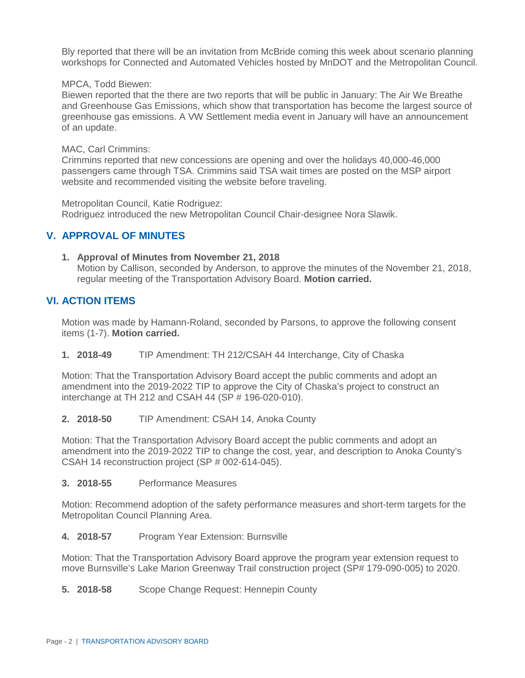Bly reported that there will be an invitation from McBride coming this week about scenario planning workshops for Connected and Automated Vehicles hosted by MnDOT and the Metropolitan Council.

#### MPCA, Todd Biewen:

Biewen reported that the there are two reports that will be public in January: The Air We Breathe and Greenhouse Gas Emissions, which show that transportation has become the largest source of greenhouse gas emissions. A VW Settlement media event in January will have an announcement of an update.

#### MAC, Carl Crimmins:

Crimmins reported that new concessions are opening and over the holidays 40,000-46,000 passengers came through TSA. Crimmins said TSA wait times are posted on the MSP airport website and recommended visiting the website before traveling.

Metropolitan Council, Katie Rodriguez:

Rodriguez introduced the new Metropolitan Council Chair-designee Nora Slawik.

#### **V. APPROVAL OF MINUTES**

#### **1. Approval of Minutes from November 21, 2018**

Motion by Callison, seconded by Anderson, to approve the minutes of the November 21, 2018, regular meeting of the Transportation Advisory Board. **Motion carried.**

#### **VI. ACTION ITEMS**

Motion was made by Hamann-Roland, seconded by Parsons, to approve the following consent items (1-7). **Motion carried.**

**1. 2018-49** TIP Amendment: TH 212/CSAH 44 Interchange, City of Chaska

Motion: That the Transportation Advisory Board accept the public comments and adopt an amendment into the 2019-2022 TIP to approve the City of Chaska's project to construct an interchange at TH 212 and CSAH 44 (SP # 196-020-010).

**2. 2018-50** TIP Amendment: CSAH 14, Anoka County

Motion: That the Transportation Advisory Board accept the public comments and adopt an amendment into the 2019-2022 TIP to change the cost, year, and description to Anoka County's CSAH 14 reconstruction project (SP # 002-614-045).

**3. 2018-55** Performance Measures

Motion: Recommend adoption of the safety performance measures and short-term targets for the Metropolitan Council Planning Area.

**4. 2018-57** Program Year Extension: Burnsville

Motion: That the Transportation Advisory Board approve the program year extension request to move Burnsville's Lake Marion Greenway Trail construction project (SP# 179-090-005) to 2020.

**5. 2018-58** Scope Change Request: Hennepin County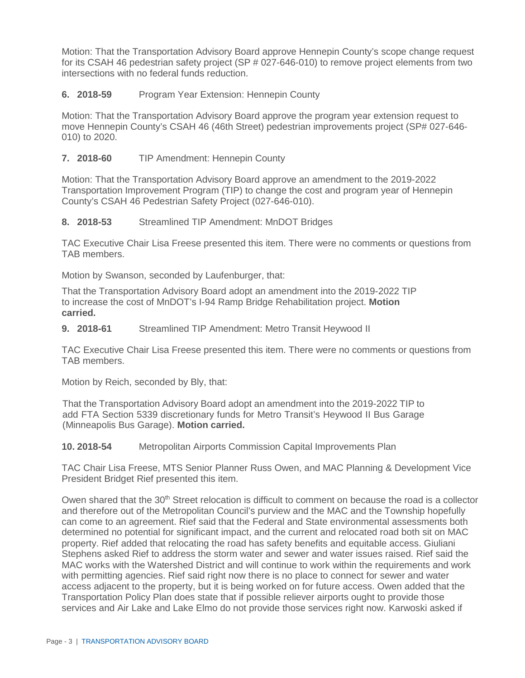Motion: That the Transportation Advisory Board approve Hennepin County's scope change request for its CSAH 46 pedestrian safety project (SP # 027-646-010) to remove project elements from two intersections with no federal funds reduction.

#### **6. 2018-59** Program Year Extension: Hennepin County

Motion: That the Transportation Advisory Board approve the program year extension request to move Hennepin County's CSAH 46 (46th Street) pedestrian improvements project (SP# 027-646- 010) to 2020.

## **7. 2018-60** TIP Amendment: Hennepin County

Motion: That the Transportation Advisory Board approve an amendment to the 2019-2022 Transportation Improvement Program (TIP) to change the cost and program year of Hennepin County's CSAH 46 Pedestrian Safety Project (027-646-010).

**8. 2018-53** Streamlined TIP Amendment: MnDOT Bridges

TAC Executive Chair Lisa Freese presented this item. There were no comments or questions from TAB members.

Motion by Swanson, seconded by Laufenburger, that:

That the Transportation Advisory Board adopt an amendment into the 2019-2022 TIP to increase the cost of MnDOT's I-94 Ramp Bridge Rehabilitation project. **Motion carried.**

**9. 2018-61** Streamlined TIP Amendment: Metro Transit Heywood II

TAC Executive Chair Lisa Freese presented this item. There were no comments or questions from TAB members.

Motion by Reich, seconded by Bly, that:

That the Transportation Advisory Board adopt an amendment into the 2019-2022 TIP to add FTA Section 5339 discretionary funds for Metro Transit's Heywood II Bus Garage (Minneapolis Bus Garage). **Motion carried.**

**10. 2018-54** Metropolitan Airports Commission Capital Improvements Plan

TAC Chair Lisa Freese, MTS Senior Planner Russ Owen, and MAC Planning & Development Vice President Bridget Rief presented this item.

Owen shared that the  $30<sup>th</sup>$  Street relocation is difficult to comment on because the road is a collector and therefore out of the Metropolitan Council's purview and the MAC and the Township hopefully can come to an agreement. Rief said that the Federal and State environmental assessments both determined no potential for significant impact, and the current and relocated road both sit on MAC property. Rief added that relocating the road has safety benefits and equitable access. Giuliani Stephens asked Rief to address the storm water and sewer and water issues raised. Rief said the MAC works with the Watershed District and will continue to work within the requirements and work with permitting agencies. Rief said right now there is no place to connect for sewer and water access adjacent to the property, but it is being worked on for future access. Owen added that the Transportation Policy Plan does state that if possible reliever airports ought to provide those services and Air Lake and Lake Elmo do not provide those services right now. Karwoski asked if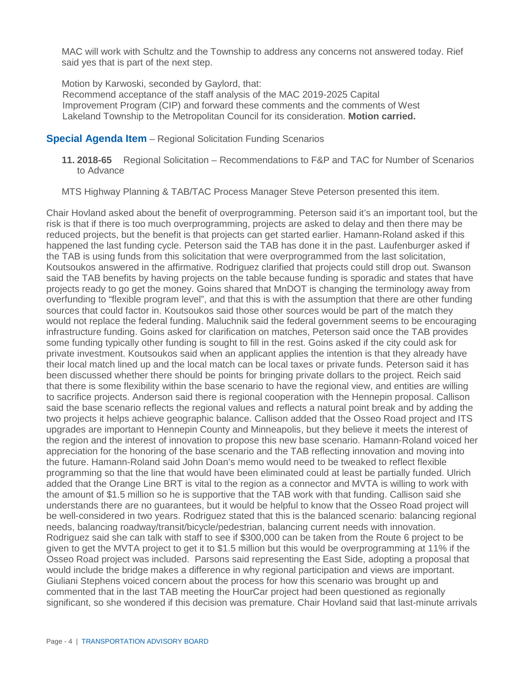MAC will work with Schultz and the Township to address any concerns not answered today. Rief said yes that is part of the next step.

Motion by Karwoski, seconded by Gaylord, that: Recommend acceptance of the staff analysis of the MAC 2019-2025 Capital Improvement Program (CIP) and forward these comments and the comments of West Lakeland Township to the Metropolitan Council for its consideration. **Motion carried.**

#### **Special Agenda Item** – Regional Solicitation Funding Scenarios

**11. 2018-65** Regional Solicitation – Recommendations to F&P and TAC for Number of Scenarios to Advance

MTS Highway Planning & TAB/TAC Process Manager Steve Peterson presented this item.

Chair Hovland asked about the benefit of overprogramming. Peterson said it's an important tool, but the risk is that if there is too much overprogramming, projects are asked to delay and then there may be reduced projects, but the benefit is that projects can get started earlier. Hamann-Roland asked if this happened the last funding cycle. Peterson said the TAB has done it in the past. Laufenburger asked if the TAB is using funds from this solicitation that were overprogrammed from the last solicitation, Koutsoukos answered in the affirmative. Rodriguez clarified that projects could still drop out. Swanson said the TAB benefits by having projects on the table because funding is sporadic and states that have projects ready to go get the money. Goins shared that MnDOT is changing the terminology away from overfunding to "flexible program level", and that this is with the assumption that there are other funding sources that could factor in. Koutsoukos said those other sources would be part of the match they would not replace the federal funding. Maluchnik said the federal government seems to be encouraging infrastructure funding. Goins asked for clarification on matches, Peterson said once the TAB provides some funding typically other funding is sought to fill in the rest. Goins asked if the city could ask for private investment. Koutsoukos said when an applicant applies the intention is that they already have their local match lined up and the local match can be local taxes or private funds. Peterson said it has been discussed whether there should be points for bringing private dollars to the project. Reich said that there is some flexibility within the base scenario to have the regional view, and entities are willing to sacrifice projects. Anderson said there is regional cooperation with the Hennepin proposal. Callison said the base scenario reflects the regional values and reflects a natural point break and by adding the two projects it helps achieve geographic balance. Callison added that the Osseo Road project and ITS upgrades are important to Hennepin County and Minneapolis, but they believe it meets the interest of the region and the interest of innovation to propose this new base scenario. Hamann-Roland voiced her appreciation for the honoring of the base scenario and the TAB reflecting innovation and moving into the future. Hamann-Roland said John Doan's memo would need to be tweaked to reflect flexible programming so that the line that would have been eliminated could at least be partially funded. Ulrich added that the Orange Line BRT is vital to the region as a connector and MVTA is willing to work with the amount of \$1.5 million so he is supportive that the TAB work with that funding. Callison said she understands there are no guarantees, but it would be helpful to know that the Osseo Road project will be well-considered in two years. Rodriguez stated that this is the balanced scenario: balancing regional needs, balancing roadway/transit/bicycle/pedestrian, balancing current needs with innovation. Rodriguez said she can talk with staff to see if \$300,000 can be taken from the Route 6 project to be given to get the MVTA project to get it to \$1.5 million but this would be overprogramming at 11% if the Osseo Road project was included. Parsons said representing the East Side, adopting a proposal that would include the bridge makes a difference in why regional participation and views are important. Giuliani Stephens voiced concern about the process for how this scenario was brought up and commented that in the last TAB meeting the HourCar project had been questioned as regionally significant, so she wondered if this decision was premature. Chair Hovland said that last-minute arrivals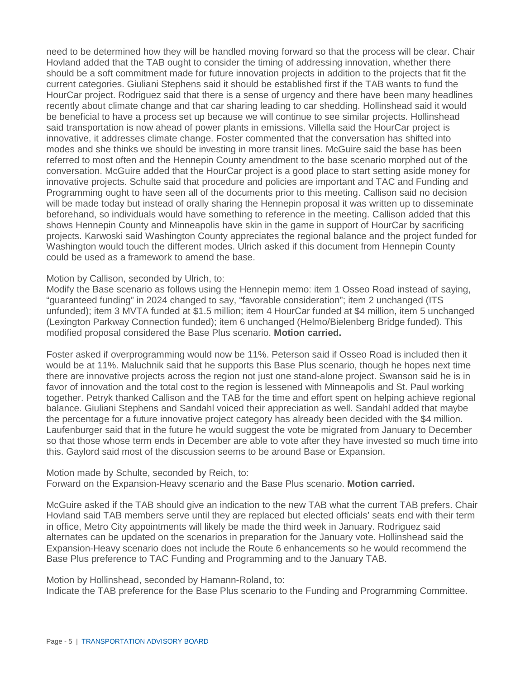need to be determined how they will be handled moving forward so that the process will be clear. Chair Hovland added that the TAB ought to consider the timing of addressing innovation, whether there should be a soft commitment made for future innovation projects in addition to the projects that fit the current categories. Giuliani Stephens said it should be established first if the TAB wants to fund the HourCar project. Rodriguez said that there is a sense of urgency and there have been many headlines recently about climate change and that car sharing leading to car shedding. Hollinshead said it would be beneficial to have a process set up because we will continue to see similar projects. Hollinshead said transportation is now ahead of power plants in emissions. Villella said the HourCar project is innovative, it addresses climate change. Foster commented that the conversation has shifted into modes and she thinks we should be investing in more transit lines. McGuire said the base has been referred to most often and the Hennepin County amendment to the base scenario morphed out of the conversation. McGuire added that the HourCar project is a good place to start setting aside money for innovative projects. Schulte said that procedure and policies are important and TAC and Funding and Programming ought to have seen all of the documents prior to this meeting. Callison said no decision will be made today but instead of orally sharing the Hennepin proposal it was written up to disseminate beforehand, so individuals would have something to reference in the meeting. Callison added that this shows Hennepin County and Minneapolis have skin in the game in support of HourCar by sacrificing projects. Karwoski said Washington County appreciates the regional balance and the project funded for Washington would touch the different modes. Ulrich asked if this document from Hennepin County could be used as a framework to amend the base.

#### Motion by Callison, seconded by Ulrich, to:

Modify the Base scenario as follows using the Hennepin memo: item 1 Osseo Road instead of saying, "guaranteed funding" in 2024 changed to say, "favorable consideration"; item 2 unchanged (ITS unfunded); item 3 MVTA funded at \$1.5 million; item 4 HourCar funded at \$4 million, item 5 unchanged (Lexington Parkway Connection funded); item 6 unchanged (Helmo/Bielenberg Bridge funded). This modified proposal considered the Base Plus scenario. **Motion carried.** 

Foster asked if overprogramming would now be 11%. Peterson said if Osseo Road is included then it would be at 11%. Maluchnik said that he supports this Base Plus scenario, though he hopes next time there are innovative projects across the region not just one stand-alone project. Swanson said he is in favor of innovation and the total cost to the region is lessened with Minneapolis and St. Paul working together. Petryk thanked Callison and the TAB for the time and effort spent on helping achieve regional balance. Giuliani Stephens and Sandahl voiced their appreciation as well. Sandahl added that maybe the percentage for a future innovative project category has already been decided with the \$4 million. Laufenburger said that in the future he would suggest the vote be migrated from January to December so that those whose term ends in December are able to vote after they have invested so much time into this. Gaylord said most of the discussion seems to be around Base or Expansion.

Motion made by Schulte, seconded by Reich, to: Forward on the Expansion-Heavy scenario and the Base Plus scenario. **Motion carried.** 

McGuire asked if the TAB should give an indication to the new TAB what the current TAB prefers. Chair Hovland said TAB members serve until they are replaced but elected officials' seats end with their term in office, Metro City appointments will likely be made the third week in January. Rodriguez said alternates can be updated on the scenarios in preparation for the January vote. Hollinshead said the Expansion-Heavy scenario does not include the Route 6 enhancements so he would recommend the Base Plus preference to TAC Funding and Programming and to the January TAB.

Motion by Hollinshead, seconded by Hamann-Roland, to:

Indicate the TAB preference for the Base Plus scenario to the Funding and Programming Committee.